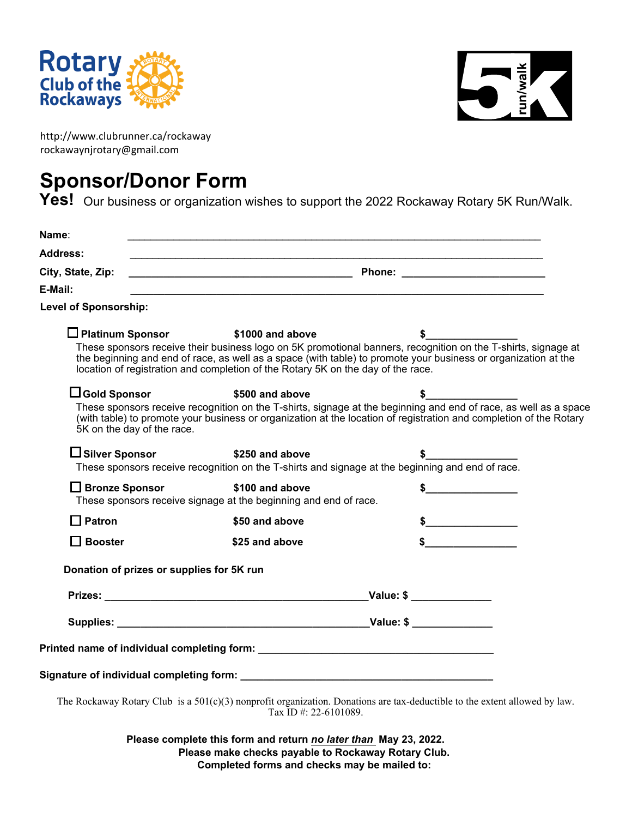



http://www.clubrunner.ca/rockaway rockawaynjrotary@gmail.com

## **Sponsor/Donor Form**

Yes! Our business or organization wishes to support the 2022 Rockaway Rotary 5K Run/Walk.

| Name:                                                                                       |                                                             |                                                                                                                                                                                                                                        |
|---------------------------------------------------------------------------------------------|-------------------------------------------------------------|----------------------------------------------------------------------------------------------------------------------------------------------------------------------------------------------------------------------------------------|
| <b>Address:</b>                                                                             |                                                             |                                                                                                                                                                                                                                        |
| City, State, Zip:                                                                           |                                                             |                                                                                                                                                                                                                                        |
| E-Mail:                                                                                     | <u> 1989 - Johann Stoff, amerikansk politiker (d. 1989)</u> |                                                                                                                                                                                                                                        |
| <b>Level of Sponsorship:</b>                                                                |                                                             |                                                                                                                                                                                                                                        |
| $\Box$ Platinum Sponsor                                                                     | \$1000 and above                                            |                                                                                                                                                                                                                                        |
| location of registration and completion of the Rotary 5K on the day of the race.            |                                                             | These sponsors receive their business logo on 5K promotional banners, recognition on the T-shirts, signage at<br>the beginning and end of race, as well as a space (with table) to promote your business or organization at the        |
| $\Box$ Gold Sponsor                                                                         | \$500 and above                                             | \$_                                                                                                                                                                                                                                    |
| 5K on the day of the race.                                                                  |                                                             | These sponsors receive recognition on the T-shirts, signage at the beginning and end of race, as well as a space<br>(with table) to promote your business or organization at the location of registration and completion of the Rotary |
| □ Silver Sponsor                                                                            | \$250 and above                                             |                                                                                                                                                                                                                                        |
|                                                                                             |                                                             | These sponsors receive recognition on the T-shirts and signage at the beginning and end of race.                                                                                                                                       |
| <b>□ Bronze Sponsor</b><br>These sponsors receive signage at the beginning and end of race. | \$100 and above                                             |                                                                                                                                                                                                                                        |
| $\Box$ Patron                                                                               | \$50 and above                                              |                                                                                                                                                                                                                                        |
| $\Box$ Booster                                                                              | \$25 and above                                              |                                                                                                                                                                                                                                        |
| Donation of prizes or supplies for 5K run                                                   |                                                             |                                                                                                                                                                                                                                        |
|                                                                                             |                                                             |                                                                                                                                                                                                                                        |
|                                                                                             |                                                             |                                                                                                                                                                                                                                        |
|                                                                                             |                                                             |                                                                                                                                                                                                                                        |
|                                                                                             |                                                             |                                                                                                                                                                                                                                        |
|                                                                                             |                                                             | The Rockaway Rotary Club is a $501(c)(3)$ nonprofit organization. Donations are tax-deductible to the extent allowed by law.                                                                                                           |
|                                                                                             | Tax ID #: 22-6101089.                                       |                                                                                                                                                                                                                                        |

**Please complete this form and return** *no later than* **May 23, 2022. Please make checks payable to Rockaway Rotary Club. Completed forms and checks may be mailed to:**